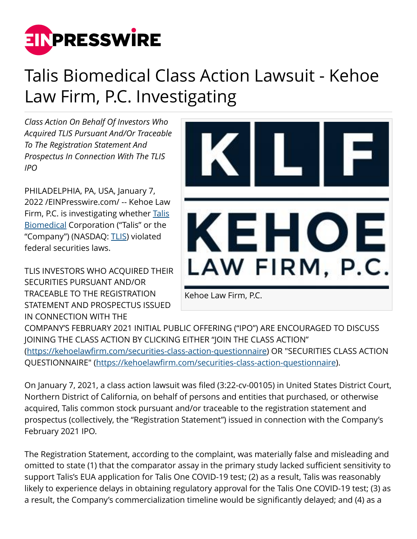

## Talis Biomedical Class Action Lawsuit - Kehoe Law Firm, P.C. Investigating

*Class Action On Behalf Of Investors Who Acquired TLIS Pursuant And/Or Traceable To The Registration Statement And Prospectus In Connection With The TLIS IPO*

PHILADELPHIA, PA, USA, January 7, 2022 /[EINPresswire.com](http://www.einpresswire.com)/ -- Kehoe Law Firm, P.C. is investigating whether [Talis](https://kehoelawfirm.com/filed-securities-cases/talis-biomedical-tlis) [Biomedical](https://kehoelawfirm.com/filed-securities-cases/talis-biomedical-tlis) Corporation ("Talis" or the "Company") (NASDAQ: [TLIS\)](https://g.co/kgs/Z8wNEC) violated federal securities laws.

TLIS INVESTORS WHO ACQUIRED THEIR SECURITIES PURSUANT AND/OR TRACEABLE TO THE REGISTRATION STATEMENT AND PROSPECTUS ISSUED IN CONNECTION WITH THE



COMPANY'S FEBRUARY 2021 INITIAL PUBLIC OFFERING ("IPO") ARE ENCOURAGED TO DISCUSS JOINING THE CLASS ACTION BY CLICKING EITHER "JOIN THE CLASS ACTION" ([https://kehoelawfirm.com/securities-class-action-questionnaire\)](https://kehoelawfirm.com/securities-class-action-questionnaire) OR "SECURITIES CLASS ACTION QUESTIONNAIRE" [\(https://kehoelawfirm.com/securities-class-action-questionnaire](https://kehoelawfirm.com/securities-class-action-questionnaire)).

On January 7, 2021, a class action lawsuit was filed (3:22-cv-00105) in United States District Court, Northern District of California, on behalf of persons and entities that purchased, or otherwise acquired, Talis common stock pursuant and/or traceable to the registration statement and prospectus (collectively, the "Registration Statement") issued in connection with the Company's February 2021 IPO.

The Registration Statement, according to the complaint, was materially false and misleading and omitted to state (1) that the comparator assay in the primary study lacked sufficient sensitivity to support Talis's EUA application for Talis One COVID-19 test; (2) as a result, Talis was reasonably likely to experience delays in obtaining regulatory approval for the Talis One COVID-19 test; (3) as a result, the Company's commercialization timeline would be significantly delayed; and (4) as a